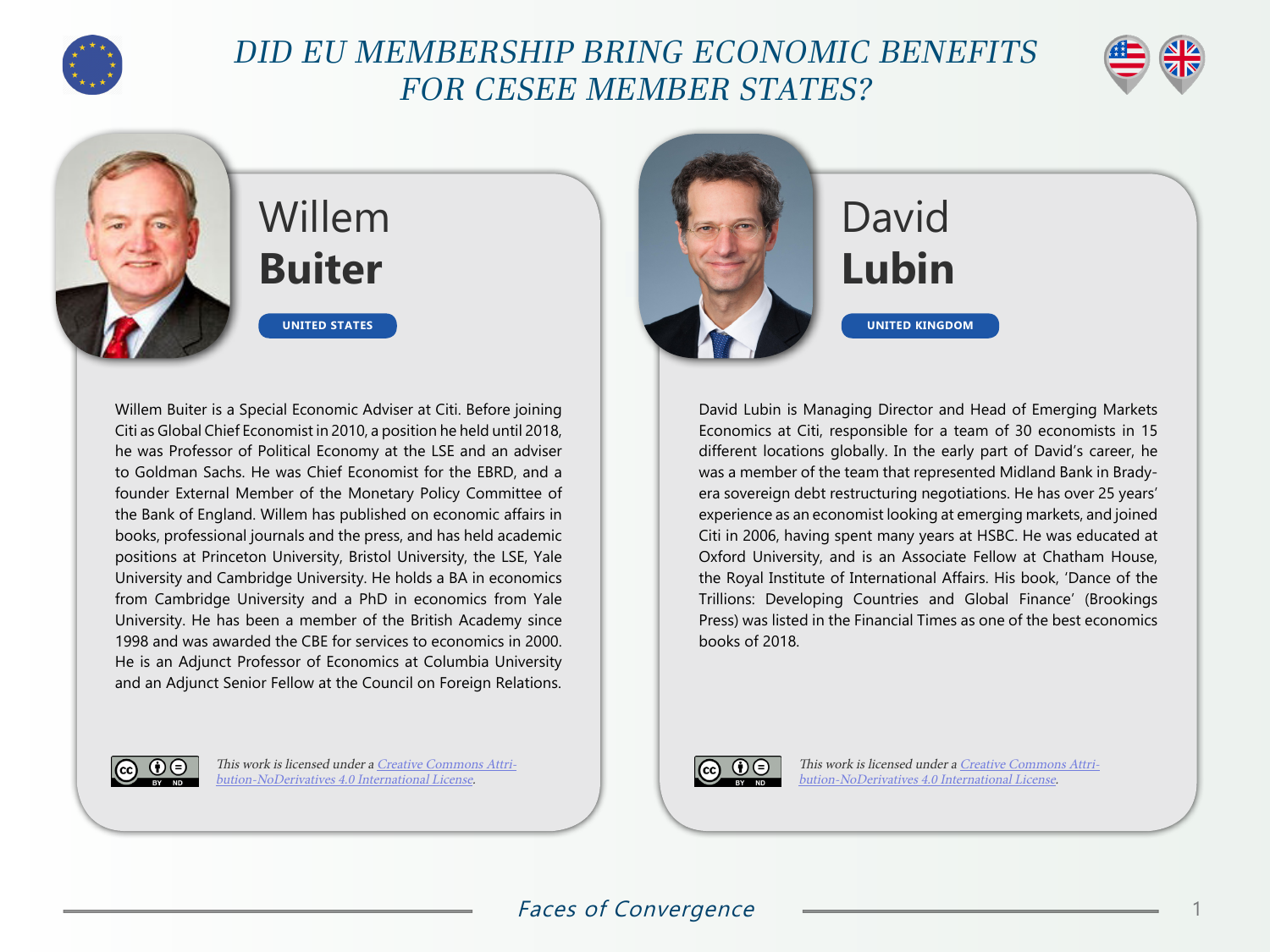

## DID EU MEMBERSHIP BRING ECONOMIC BENEFITS FOR CESEE MEMBER STATES?



## Willem **Buiter**

**UNITED STATES**

Willem Buiter is a Special Economic Adviser at Citi. Before joining Citi as Global Chief Economist in 2010, a position he held until 2018, he was Professor of Political Economy at the LSE and an adviser to Goldman Sachs. He was Chief Economist for the EBRD, and a founder External Member of the Monetary Policy Committee of the Bank of England. Willem has published on economic affairs in books, professional journals and the press, and has held academic positions at Princeton University, Bristol University, the LSE, Yale University and Cambridge University. He holds a BA in economics from Cambridge University and a PhD in economics from Yale University. He has been a member of the British Academy since 1998 and was awarded the CBE for services to economics in 2000. He is an Adjunct Professor of Economics at Columbia University and an Adjunct Senior Fellow at the Council on Foreign Relations.



This work is licensed under a [Creative Commons Attri](https://creativecommons.org/licenses/by-nd/4.0/)[bution-NoDerivatives 4.0 International License](https://creativecommons.org/licenses/by-nd/4.0/).



## David **Lubin**

David Lubin is Managing Director and Head of Emerging Markets Economics at Citi, responsible for a team of 30 economists in 15 different locations globally. In the early part of David's career, he was a member of the team that represented Midland Bank in Bradyera sovereign debt restructuring negotiations. He has over 25 years' experience as an economist looking at emerging markets, and joined Citi in 2006, having spent many years at HSBC. He was educated at Oxford University, and is an Associate Fellow at Chatham House, the Royal Institute of International Affairs. His book, 'Dance of the Trillions: Developing Countries and Global Finance' (Brookings Press) was listed in the Financial Times as one of the best economics books of 2018.



This work is licensed under a [Creative Commons Attri](https://creativecommons.org/licenses/by-nd/4.0/)[bution-NoDerivatives 4.0 International License](https://creativecommons.org/licenses/by-nd/4.0/).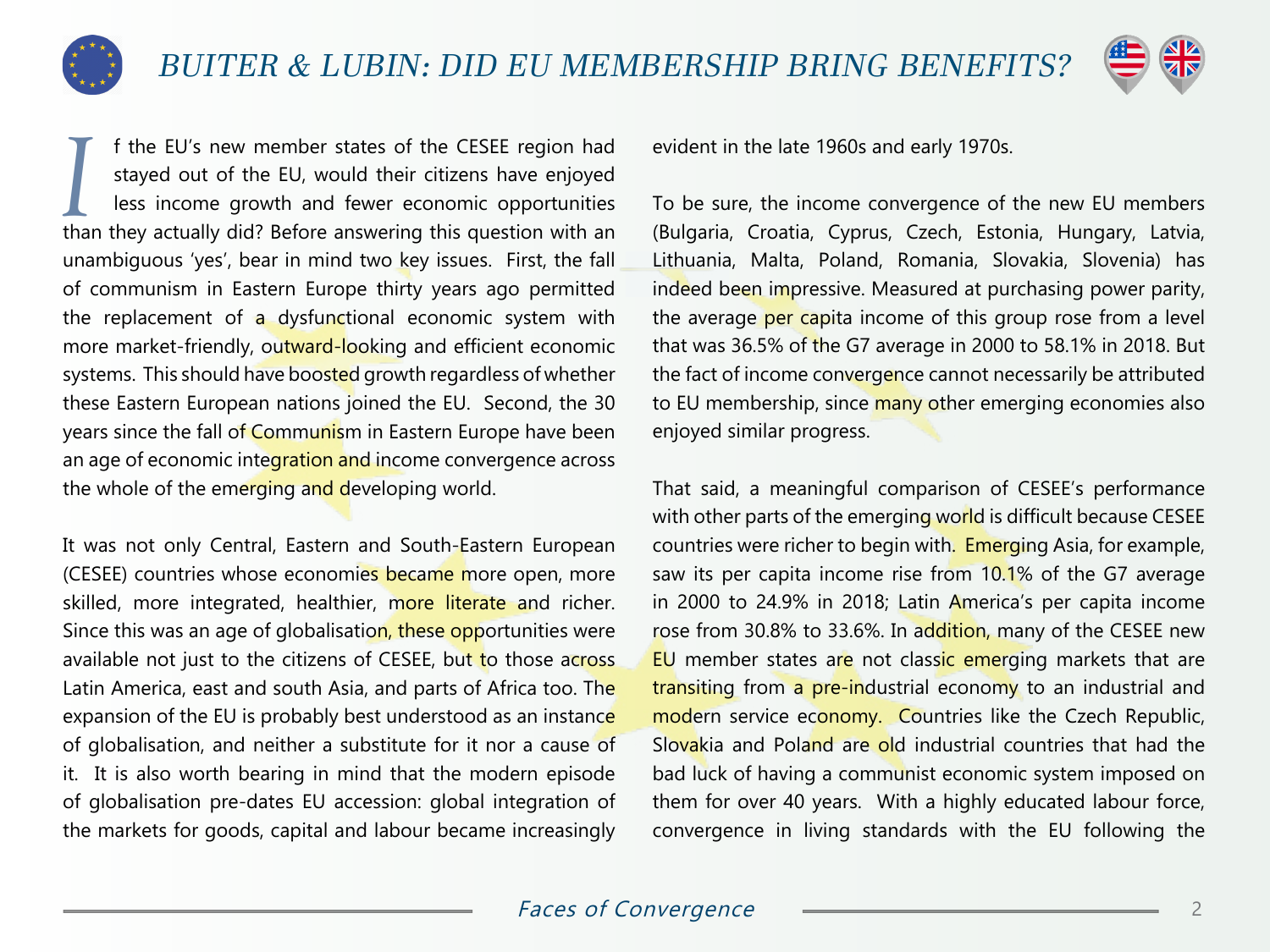



Il the EU's new member states of the CESEE region had stayed out of the EU, would their citizens have enjoyed less income growth and fewer economic opportunities than they actually did? Before answering this question with f the EU's new member states of the CESEE region had stayed out of the EU, would their citizens have enjoyed less income growth and fewer economic opportunities unambiguous 'yes', bear in mind two key issues. First, the fall of communism in Eastern Europe thirty years ago permitted the replacement of a dysfunctional economic system with more market-friendly, outward-looking and efficient economic systems. This should have boosted growth regardless of whether these Eastern European nations joined the EU. Second, the 30 years since the fall of Communism in Eastern Europe have been an age of economic integration and income convergence across the whole of the emerging and developing world.

It was not only Central, Eastern and South-Eastern European (CESEE) countries whose economies became more open, more skilled, more integrated, healthier, more literate and richer. Since this was an age of globalisation, these opportunities were available not just to the citizens of CESEE, but to those across Latin America, east and south Asia, and parts of Africa too. The expansion of the EU is probably best understood as an instance of globalisation, and neither a substitute for it nor a cause of it. It is also worth bearing in mind that the modern episode of globalisation pre-dates EU accession: global integration of the markets for goods, capital and labour became increasingly

evident in the late 1960s and early 1970s.

To be sure, the income convergence of the new EU members (Bulgaria, Croatia, Cyprus, Czech, Estonia, Hungary, Latvia, Lithuania, Malta, Poland, Romania, Slovakia, Slovenia) has indeed been impressive. Measured at purchasing power parity, the average per capita income of this group rose from a level that was 36.5% of the G7 average in 2000 to 58.1% in 2018. But the fact of income convergence cannot necessarily be attributed to EU membership, since many other emerging economies also enjoyed similar progress.

That said, a meaningful comparison of CESEE's performance with other parts of the emerging world is difficult because CESEE countries were richer to begin with. Emerging Asia, for example, saw its per capita income rise from 10.1% of the G7 average in 2000 to 24.9% in 2018; Latin America's per capita income rose from 30.8% to 33.6%. In addition, many of the CESEE new EU member states are not classic emerging markets that are transiting from a pre-industrial economy to an industrial and modern service economy. Countries like the Czech Republic, Slovakia and Poland are old industrial countries that had the bad luck of having a communist economic system imposed on them for over 40 years. With a highly educated labour force, convergence in living standards with the EU following the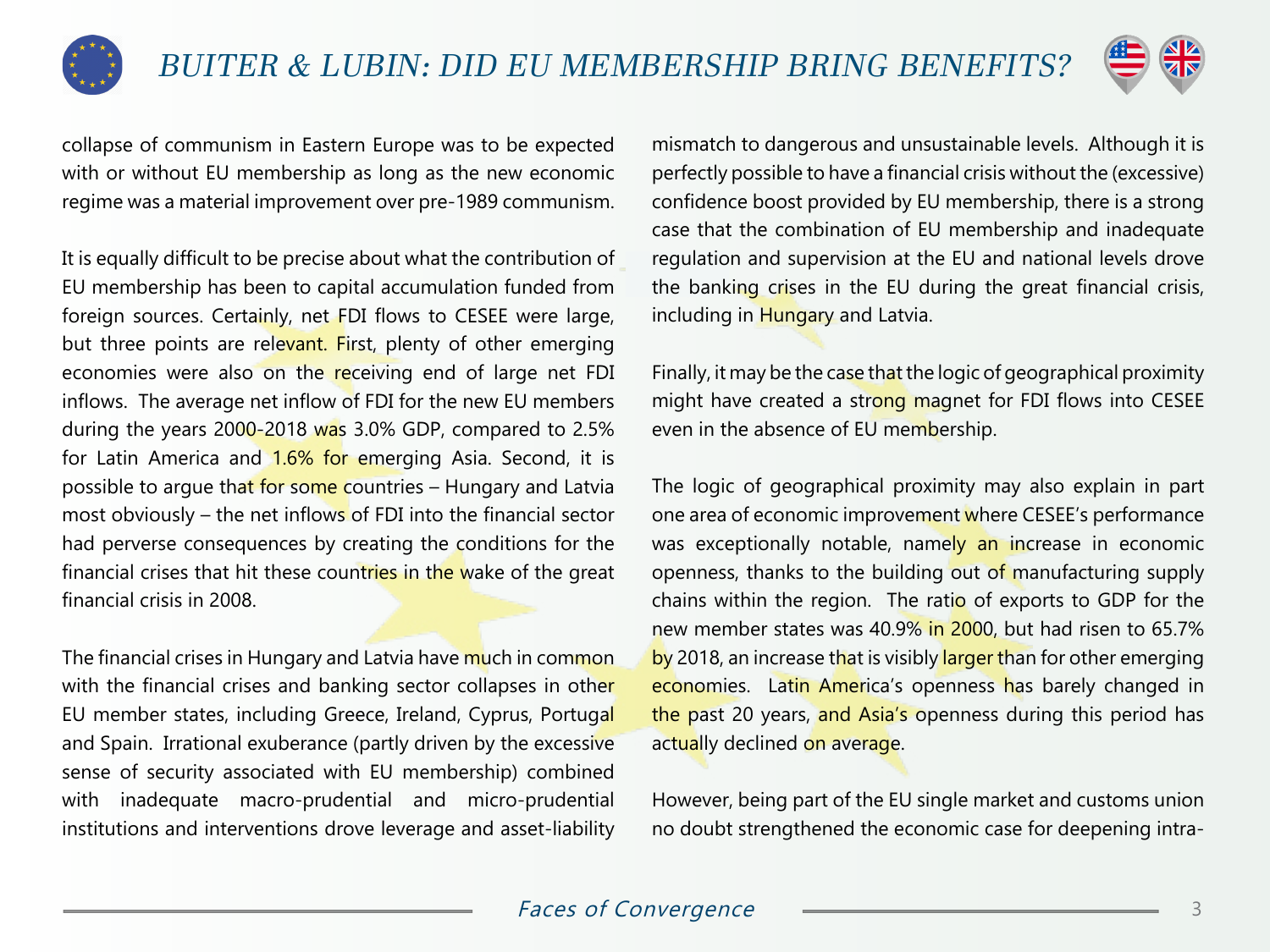



collapse of communism in Eastern Europe was to be expected with or without EU membership as long as the new economic regime was a material improvement over pre-1989 communism.

It is equally difficult to be precise about what the contribution of EU membership has been to capital accumulation funded from foreign sources. Certainly, net FDI flows to CESEE were large, but three points are relevant. First, plenty of other emerging economies were also on the receiving end of large net FDI inflows. The average net inflow of FDI for the new EU members during the years 2000-2018 was 3.0% GDP, compared to 2.5% for Latin America and 1.6% for emerging Asia. Second, it is possible to argue that for some countries - Hungary and Latvia most obviously – the net inflows of FDI into the financial sector had perverse consequences by creating the conditions for the financial crises that hit these countries in the wake of the great financial crisis in 2008.

The financial crises in Hungary and Latvia have much in common with the financial crises and banking sector collapses in other EU member states, including Greece, Ireland, Cyprus, Portugal and Spain. Irrational exuberance (partly driven by the excessive sense of security associated with EU membership) combined with inadequate macro-prudential and micro-prudential institutions and interventions drove leverage and asset-liability mismatch to dangerous and unsustainable levels. Although it is perfectly possible to have a financial crisis without the (excessive) confidence boost provided by EU membership, there is a strong case that the combination of EU membership and inadequate regulation and supervision at the EU and national levels drove the banking crises in the EU during the great financial crisis, including in Hungary and Latvia.

Finally, it may be the case that the logic of geographical proximity might have created a strong magnet for FDI flows into CESEE even in the absence of EU membership.

The logic of geographical proximity may also explain in part one area of economic improvement where CESEE's performance was exceptionally notable, namely an increase in economic openness, thanks to the building out of manufacturing supply chains within the region. The ratio of exports to GDP for the new member states was 40.9% in 2000, but had risen to 65.7% by 2018, an increase that is visibly larger than for other emerging economies. Latin America's openness has barely changed in the past 20 years, and Asia's openness during this period has actually declined on average.

However, being part of the EU single market and customs union no doubt strengthened the economic case for deepening intra-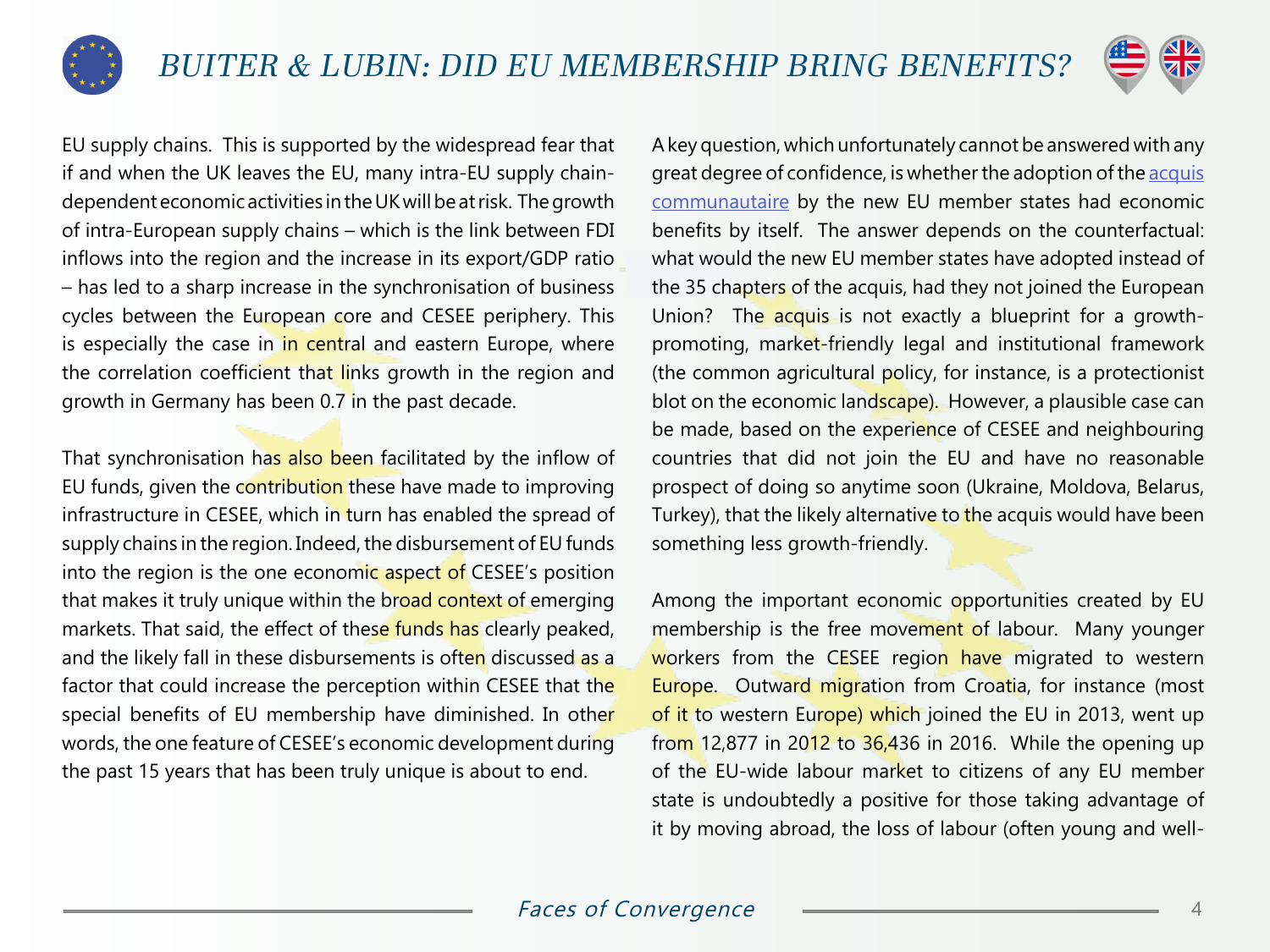



EU supply chains. This is supported by the widespread fear that if and when the UK leaves the EU, many intra-EU supply chaindependent economic activities in the UK will be at risk. The growth of intra-European supply chains – which is the link between FDI inflows into the region and the increase in its export/GDP ratio – has led to a sharp increase in the synchronisation of business cycles between the European core and CESEE periphery. This is especially the case in in central and eastern Europe, where the correlation coefficient that links growth in the region and growth in Germany has been 0.7 in the past decade.

That synchronisation has also been facilitated by the inflow of EU funds, given the contribution these have made to improving infrastructure in CESEE, which in turn has enabled the spread of supply chains in the region. Indeed, the disbursement of EU funds into the region is the one economic aspect of CESEE's position that makes it truly unique within the broad context of emerging markets. That said, the effect of these funds has clearly peaked, and the likely fall in these disbursements is often discussed as a factor that could increase the perception within CESEE that the special benefits of EU membership have diminished. In other words, the one feature of CESEE's economic development during the past 15 years that has been truly unique is about to end.

A key question, which unfortunately cannot be answered with any great degree of confidence, is whether the adoption of the [acquis](https://en.wikipedia.org/wiki/Acquis_communautaire) [communautaire](https://en.wikipedia.org/wiki/Acquis_communautaire) by the new EU member states had economic benefits by itself. The answer depends on the counterfactual: what would the new EU member states have adopted instead of the 35 chapters of the acquis, had they not joined the European Union? The acquis is not exactly a blueprint for a growthpromoting, market-friendly legal and institutional framework (the common agricultural policy, for instance, is a protectionist blot on the economic landscape). However, a plausible case can be made, based on the experience of CESEE and neighbouring countries that did not join the EU and have no reasonable prospect of doing so anytime soon (Ukraine, Moldova, Belarus, Turkey), that the likely alternative to the acquis would have been something less growth-friendly.

Among the important economic opportunities created by EU membership is the free movement of labour. Many younger workers from the CESEE region have migrated to western Europe. Outward migration from Croatia, for instance (most of it to western Europe) which joined the EU in 2013, went up from 12,877 in 2012 to  $36,436$  in 2016. While the opening up of the EU-wide labour market to citizens of any EU member state is undoubtedly a positive for those taking advantage of it by moving abroad, the loss of labour (often young and well-